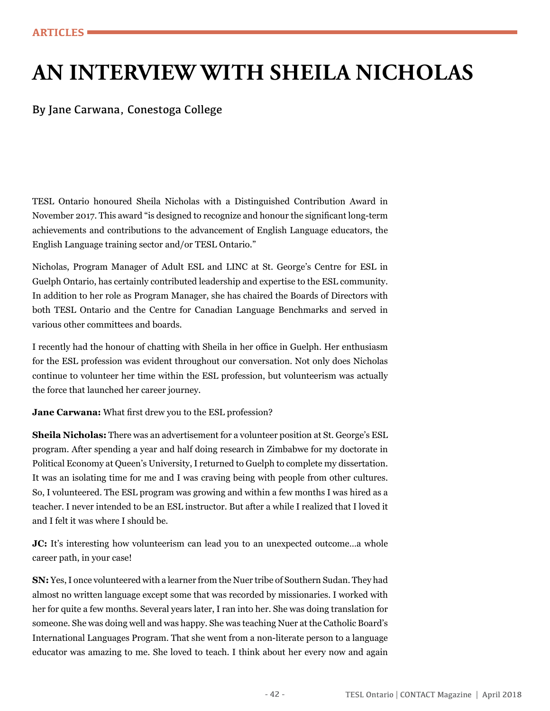## **AN INTERVIEW WITH SHEILA NICHOLAS**

By Jane Carwana, Conestoga College

TESL Ontario honoured Sheila Nicholas with a Distinguished Contribution Award in November 2017. This award "is designed to recognize and honour the significant long-term achievements and contributions to the advancement of English Language educators, the English Language training sector and/or TESL Ontario."

Nicholas, Program Manager of Adult ESL and LINC at St. George's Centre for ESL in Guelph Ontario, has certainly contributed leadership and expertise to the ESL community. In addition to her role as Program Manager, she has chaired the Boards of Directors with both TESL Ontario and the Centre for Canadian Language Benchmarks and served in various other committees and boards.

I recently had the honour of chatting with Sheila in her office in Guelph. Her enthusiasm for the ESL profession was evident throughout our conversation. Not only does Nicholas continue to volunteer her time within the ESL profession, but volunteerism was actually the force that launched her career journey.

**Jane Carwana:** What first drew you to the ESL profession?

**Sheila Nicholas:** There was an advertisement for a volunteer position at St. George's ESL program. After spending a year and half doing research in Zimbabwe for my doctorate in Political Economy at Queen's University, I returned to Guelph to complete my dissertation. It was an isolating time for me and I was craving being with people from other cultures. So, I volunteered. The ESL program was growing and within a few months I was hired as a teacher. I never intended to be an ESL instructor. But after a while I realized that I loved it and I felt it was where I should be.

**JC:** It's interesting how volunteerism can lead you to an unexpected outcome...a whole career path, in your case!

**SN:** Yes, I once volunteered with a learner from the Nuer tribe of Southern Sudan. They had almost no written language except some that was recorded by missionaries. I worked with her for quite a few months. Several years later, I ran into her. She was doing translation for someone. She was doing well and was happy. She was teaching Nuer at the Catholic Board's International Languages Program. That she went from a non-literate person to a language educator was amazing to me. She loved to teach. I think about her every now and again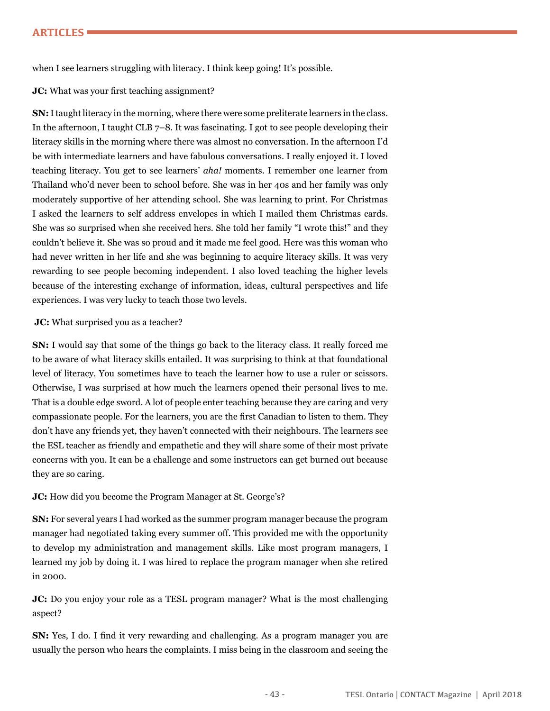when I see learners struggling with literacy. I think keep going! It's possible.

## **JC:** What was your first teaching assignment?

**SN:** I taught literacy in the morning, where there were some preliterate learners in the class. In the afternoon, I taught CLB 7–8. It was fascinating. I got to see people developing their literacy skills in the morning where there was almost no conversation. In the afternoon I'd be with intermediate learners and have fabulous conversations. I really enjoyed it. I loved teaching literacy. You get to see learners' *aha!* moments. I remember one learner from Thailand who'd never been to school before. She was in her 40s and her family was only moderately supportive of her attending school. She was learning to print. For Christmas I asked the learners to self address envelopes in which I mailed them Christmas cards. She was so surprised when she received hers. She told her family "I wrote this!" and they couldn't believe it. She was so proud and it made me feel good. Here was this woman who had never written in her life and she was beginning to acquire literacy skills. It was very rewarding to see people becoming independent. I also loved teaching the higher levels because of the interesting exchange of information, ideas, cultural perspectives and life experiences. I was very lucky to teach those two levels.

## **JC:** What surprised you as a teacher?

**SN:** I would say that some of the things go back to the literacy class. It really forced me to be aware of what literacy skills entailed. It was surprising to think at that foundational level of literacy. You sometimes have to teach the learner how to use a ruler or scissors. Otherwise, I was surprised at how much the learners opened their personal lives to me. That is a double edge sword. A lot of people enter teaching because they are caring and very compassionate people. For the learners, you are the first Canadian to listen to them. They don't have any friends yet, they haven't connected with their neighbours. The learners see the ESL teacher as friendly and empathetic and they will share some of their most private concerns with you. It can be a challenge and some instructors can get burned out because they are so caring.

## **JC:** How did you become the Program Manager at St. George's?

**SN:** For several years I had worked as the summer program manager because the program manager had negotiated taking every summer off. This provided me with the opportunity to develop my administration and management skills. Like most program managers, I learned my job by doing it. I was hired to replace the program manager when she retired in 2000.

**JC:** Do you enjoy your role as a TESL program manager? What is the most challenging aspect?

**SN:** Yes, I do. I find it very rewarding and challenging. As a program manager you are usually the person who hears the complaints. I miss being in the classroom and seeing the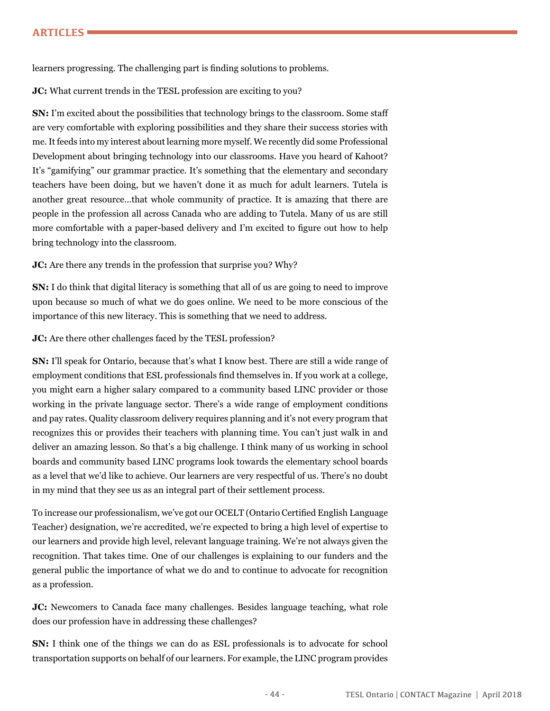learners progressing. The challenging part is finding solutions to problems.

**JC:** What current trends in the TESL profession are exciting to you?

**SN:** I'm excited about the possibilities that technology brings to the classroom. Some staff are very comfortable with exploring possibilities and they share their success stories with me. It feeds into my interest about learning more myself. We recently did some Professional Development about bringing technology into our classrooms. Have you heard of Kahoot? It's "gamifying" our grammar practice. It's something that the elementary and secondary teachers have been doing, but we haven't done it as much for adult learners. Tutela is another great resource…that whole community of practice. It is amazing that there are people in the profession all across Canada who are adding to Tutela. Many of us are still more comfortable with a paper-based delivery and I'm excited to figure out how to help bring technology into the classroom.

**JC:** Are there any trends in the profession that surprise you? Why?

**SN:** I do think that digital literacy is something that all of us are going to need to improve upon because so much of what we do goes online. We need to be more conscious of the importance of this new literacy. This is something that we need to address.

**JC:** Are there other challenges faced by the TESL profession?

**SN:** I'll speak for Ontario, because that's what I know best. There are still a wide range of employment conditions that ESL professionals find themselves in. If you work at a college, you might earn a higher salary compared to a community based LINC provider or those working in the private language sector. There's a wide range of employment conditions and pay rates. Quality classroom delivery requires planning and it's not every program that recognizes this or provides their teachers with planning time. You can't just walk in and deliver an amazing lesson. So that's a big challenge. I think many of us working in school boards and community based LINC programs look towards the elementary school boards as a level that we'd like to achieve. Our learners are very respectful of us. There's no doubt in my mind that they see us as an integral part of their settlement process.

To increase our professionalism, we've got our OCELT (Ontario Certified English Language Teacher) designation, we're accredited, we're expected to bring a high level of expertise to our learners and provide high level, relevant language training. We're not always given the recognition. That takes time. One of our challenges is explaining to our funders and the general public the importance of what we do and to continue to advocate for recognition as a profession.

**JC:** Newcomers to Canada face many challenges. Besides language teaching, what role does our profession have in addressing these challenges?

**SN:** I think one of the things we can do as ESL professionals is to advocate for school transportation supports on behalf of our learners. For example, the LINC program provides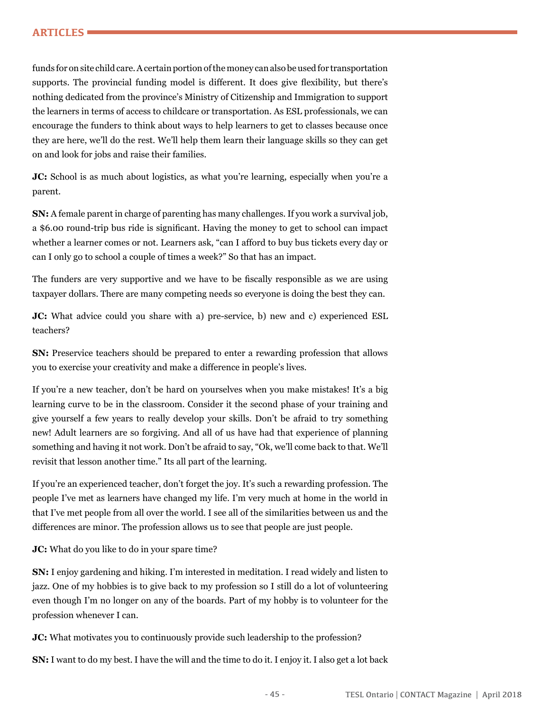funds for on site child care. A certain portion of the money can also be used for transportation supports. The provincial funding model is different. It does give flexibility, but there's nothing dedicated from the province's Ministry of Citizenship and Immigration to support the learners in terms of access to childcare or transportation. As ESL professionals, we can encourage the funders to think about ways to help learners to get to classes because once they are here, we'll do the rest. We'll help them learn their language skills so they can get on and look for jobs and raise their families.

**JC:** School is as much about logistics, as what you're learning, especially when you're a parent.

**SN:** A female parent in charge of parenting has many challenges. If you work a survival job, a \$6.00 round-trip bus ride is significant. Having the money to get to school can impact whether a learner comes or not. Learners ask, "can I afford to buy bus tickets every day or can I only go to school a couple of times a week?" So that has an impact.

The funders are very supportive and we have to be fiscally responsible as we are using taxpayer dollars. There are many competing needs so everyone is doing the best they can.

**JC:** What advice could you share with a) pre-service, b) new and c) experienced ESL teachers?

**SN:** Preservice teachers should be prepared to enter a rewarding profession that allows you to exercise your creativity and make a difference in people's lives.

If you're a new teacher, don't be hard on yourselves when you make mistakes! It's a big learning curve to be in the classroom. Consider it the second phase of your training and give yourself a few years to really develop your skills. Don't be afraid to try something new! Adult learners are so forgiving. And all of us have had that experience of planning something and having it not work. Don't be afraid to say, "Ok, we'll come back to that. We'll revisit that lesson another time." Its all part of the learning.

If you're an experienced teacher, don't forget the joy. It's such a rewarding profession. The people I've met as learners have changed my life. I'm very much at home in the world in that I've met people from all over the world. I see all of the similarities between us and the differences are minor. The profession allows us to see that people are just people.

**JC:** What do you like to do in your spare time?

**SN:** I enjoy gardening and hiking. I'm interested in meditation. I read widely and listen to jazz. One of my hobbies is to give back to my profession so I still do a lot of volunteering even though I'm no longer on any of the boards. Part of my hobby is to volunteer for the profession whenever I can.

**JC:** What motivates you to continuously provide such leadership to the profession?

**SN:** I want to do my best. I have the will and the time to do it. I enjoy it. I also get a lot back